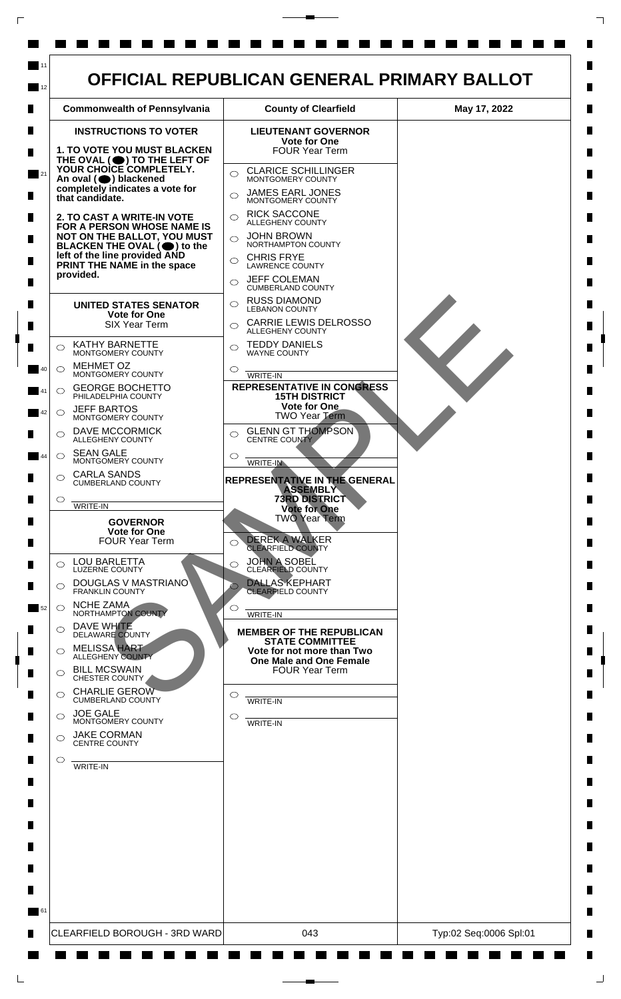

 $\mathsf{L}$